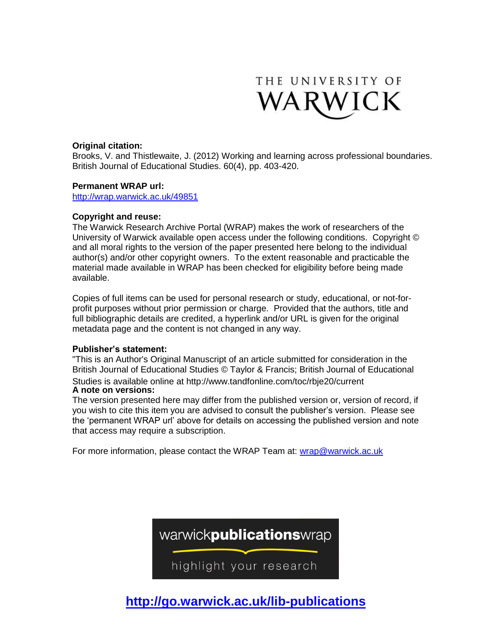

## **Original citation:**

Brooks, V. and Thistlewaite, J. (2012) Working and learning across professional boundaries. British Journal of Educational Studies. 60(4), pp. 403-420.

### **Permanent WRAP url:**

<http://wrap.warwick.ac.uk/49851>

### **Copyright and reuse:**

The Warwick Research Archive Portal (WRAP) makes the work of researchers of the University of Warwick available open access under the following conditions. Copyright © and all moral rights to the version of the paper presented here belong to the individual author(s) and/or other copyright owners. To the extent reasonable and practicable the material made available in WRAP has been checked for eligibility before being made available.

Copies of full items can be used for personal research or study, educational, or not-forprofit purposes without prior permission or charge. Provided that the authors, title and full bibliographic details are credited, a hyperlink and/or URL is given for the original metadata page and the content is not changed in any way.

### **Publisher's statement:**

"This is an Author's Original Manuscript of an article submitted for consideration in the British Journal of Educational Studies © Taylor & Francis; British Journal of Educational Studies is available online at http://www.tandfonline.com/toc/rbje20/current **A note on versions:**

The version presented here may differ from the published version or, version of record, if you wish to cite this item you are advised to consult the publisher's version. Please see the 'permanent WRAP url' above for details on accessing the published version and note that access may require a subscription.

For more information, please contact the WRAP Team at: [wrap@warwick.ac.uk](mailto:wrap@warwick.ac.uk)



**http://go.warwick.ac.uk/lib-publications**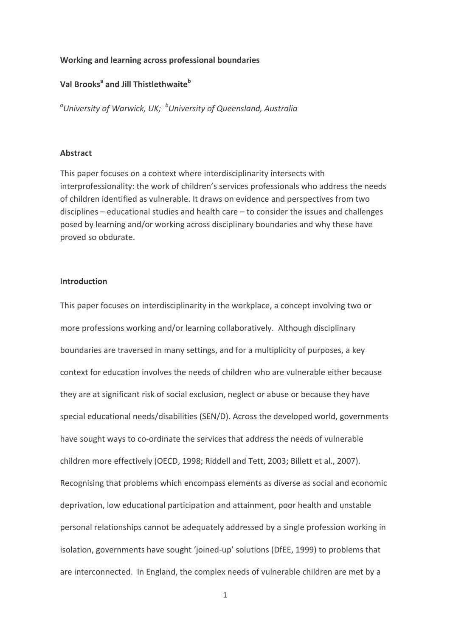### Working and learning across professional boundaries

# Val Brooks<sup>a</sup> and Jill Thistlethwaite<sup>b</sup>

 $\degree$ University of Warwick, UK;  $\degree$ University of Queensland, Australia

### **Abstract**

This paper focuses on a context where interdisciplinarity intersects with interprofessionality: the work of children's services professionals who address the needs of children identified as vulnerable. It draws on evidence and perspectives from two  $disciplines - educational studies and health care - to consider the issues and challenges$ posed by learning and/or working across disciplinary boundaries and why these have proved so obdurate.

### **Introduction**

This paper focuses on interdisciplinarity in the workplace, a concept involving two or more professions working and/or learning collaboratively. Although disciplinary boundaries are traversed in many settings, and for a multiplicity of purposes, a key context for education involves the needs of children who are vulnerable either because they are at significant risk of social exclusion, neglect or abuse or because they have special educational needs/disabilities (SEN/D). Across the developed world, governments have sought ways to co-ordinate the services that address the needs of vulnerable children more effectively (OECD, 1998; Riddell and Tett, 2003; Billett et al., 2007). Recognising that problems which encompass elements as diverse as social and economic deprivation, low educational participation and attainment, poor health and unstable personal relationships cannot be adequately addressed by a single profession working in isolation, governments have sought 'joined-up' solutions (DfEE, 1999) to problems that are interconnected. In England, the complex needs of vulnerable children are met by a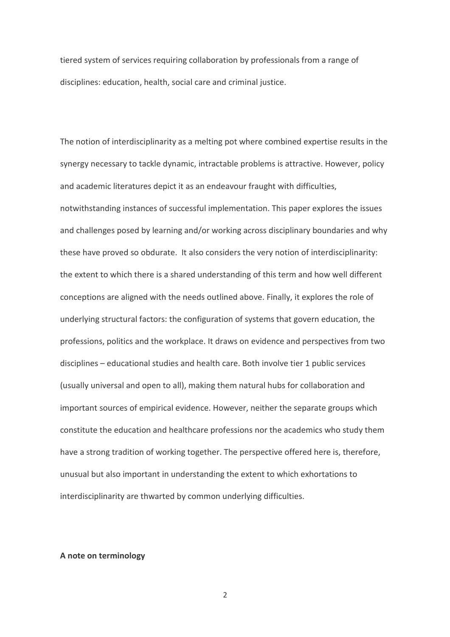tiered system of services requiring collaboration by professionals from a range of disciplines: education, health, social care and criminal justice.

The notion of interdisciplinarity as a melting pot where combined expertise results in the synergy necessary to tackle dynamic, intractable problems is attractive. However, policy and academic literatures depict it as an endeavour fraught with difficulties, notwithstanding instances of successful implementation. This paper explores the issues and challenges posed by learning and/or working across disciplinary boundaries and why these have proved so obdurate. It also considers the very notion of interdisciplinarity: the extent to which there is a shared understanding of this term and how well different conceptions are aligned with the needs outlined above. Finally, it explores the role of underlying structural factors: the configuration of systems that govern education, the professions, politics and the workplace. It draws on evidence and perspectives from two disciplines - educational studies and health care. Both involve tier 1 public services (usually universal and open to all), making them natural hubs for collaboration and important sources of empirical evidence. However, neither the separate groups which constitute the education and healthcare professions nor the academics who study them have a strong tradition of working together. The perspective offered here is, therefore, unusual but also important in understanding the extent to which exhortations to interdisciplinarity are thwarted by common underlying difficulties.

#### A note on terminology

 $\overline{2}$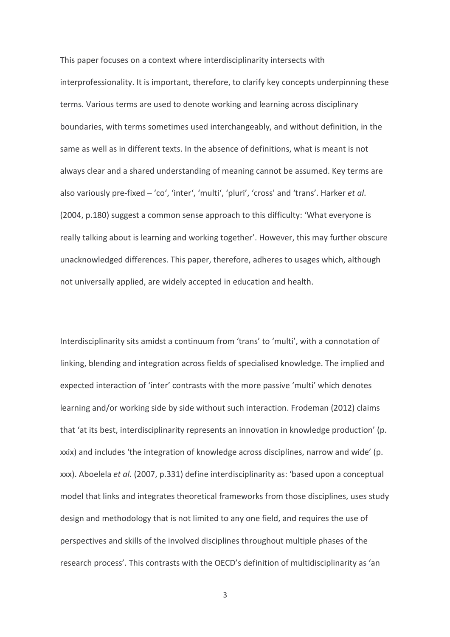This paper focuses on a context where interdisciplinarity intersects with interprofessionality. It is important, therefore, to clarify key concepts underpinning these terms. Various terms are used to denote working and learning across disciplinary boundaries, with terms sometimes used interchangeably, and without definition, in the same as well as in different texts. In the absence of definitions, what is meant is not always clear and a shared understanding of meaning cannot be assumed. Key terms are also variously pre-fixed – 'co', 'inter', 'multi', 'pluri', 'cross' and 'trans'. Harker et al. (2004, p.180) suggest a common sense approach to this difficulty: 'What everyone is really talking about is learning and working together'. However, this may further obscure unacknowledged differences. This paper, therefore, adheres to usages which, although not universally applied, are widely accepted in education and health.

Interdisciplinarity sits amidst a continuum from 'trans' to 'multi', with a connotation of linking, blending and integration across fields of specialised knowledge. The implied and expected interaction of 'inter' contrasts with the more passive 'multi' which denotes learning and/or working side by side without such interaction. Frodeman (2012) claims that 'at its best, interdisciplinarity represents an innovation in knowledge production' (p. xxix) and includes 'the integration of knowledge across disciplines, narrow and wide' (p. xxx). Aboelela et al. (2007, p.331) define interdisciplinarity as: 'based upon a conceptual model that links and integrates theoretical frameworks from those disciplines, uses study design and methodology that is not limited to any one field, and requires the use of perspectives and skills of the involved disciplines throughout multiple phases of the research process'. This contrasts with the OECD's definition of multidisciplinarity as 'an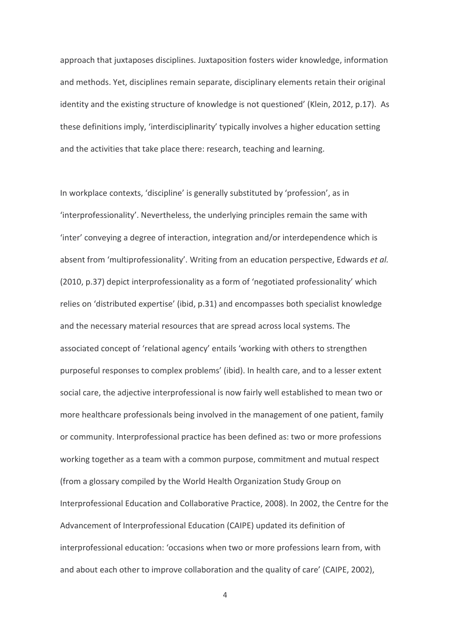approach that juxtaposes disciplines. Juxtaposition fosters wider knowledge, information and methods. Yet, disciplines remain separate, disciplinary elements retain their original identity and the existing structure of knowledge is not questioned' (Klein, 2012, p.17). As these definitions imply, 'interdisciplinarity' typically involves a higher education setting and the activities that take place there: research, teaching and learning.

In workplace contexts, 'discipline' is generally substituted by 'profession', as in 'interprofessionality'. Nevertheless, the underlying principles remain the same with 'inter' conveying a degree of interaction, integration and/or interdependence which is absent from 'multiprofessionality'. Writing from an education perspective, Edwards et al. (2010, p.37) depict interprofessionality as a form of 'negotiated professionality' which relies on 'distributed expertise' (ibid, p.31) and encompasses both specialist knowledge and the necessary material resources that are spread across local systems. The associated concept of 'relational agency' entails 'working with others to strengthen purposeful responses to complex problems' (ibid). In health care, and to a lesser extent social care, the adjective interprofessional is now fairly well established to mean two or more healthcare professionals being involved in the management of one patient, family or community. Interprofessional practice has been defined as: two or more professions working together as a team with a common purpose, commitment and mutual respect (from a glossary compiled by the World Health Organization Study Group on Interprofessional Education and Collaborative Practice, 2008). In 2002, the Centre for the Advancement of Interprofessional Education (CAIPE) updated its definition of interprofessional education: 'occasions when two or more professions learn from, with and about each other to improve collaboration and the quality of care' (CAIPE, 2002),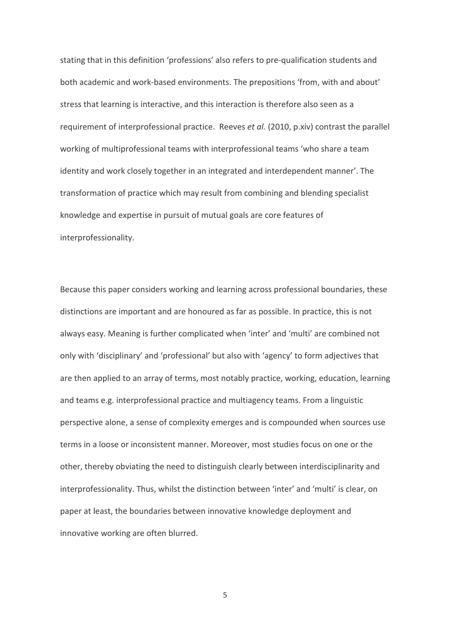stating that in this definition 'professions' also refers to pre-qualification students and both academic and work-based environments. The prepositions 'from, with and about' stress that learning is interactive, and this interaction is therefore also seen as a requirement of interprofessional practice. Reeves et al. (2010, p.xiv) contrast the parallel working of multiprofessional teams with interprofessional teams 'who share a team identity and work closely together in an integrated and interdependent manner'. The transformation of practice which may result from combining and blending specialist knowledge and expertise in pursuit of mutual goals are core features of interprofessionality.

Because this paper considers working and learning across professional boundaries, these distinctions are important and are honoured as far as possible. In practice, this is not always easy. Meaning is further complicated when 'inter' and 'multi' are combined not only with 'disciplinary' and 'professional' but also with 'agency' to form adjectives that are then applied to an array of terms, most notably practice, working, education, learning and teams e.g. interprofessional practice and multiagency teams. From a linguistic perspective alone, a sense of complexity emerges and is compounded when sources use terms in a loose or inconsistent manner. Moreover, most studies focus on one or the other, thereby obviating the need to distinguish clearly between interdisciplinarity and interprofessionality. Thus, whilst the distinction between 'inter' and 'multi' is clear, on paper at least, the boundaries between innovative knowledge deployment and innovative working are often blurred.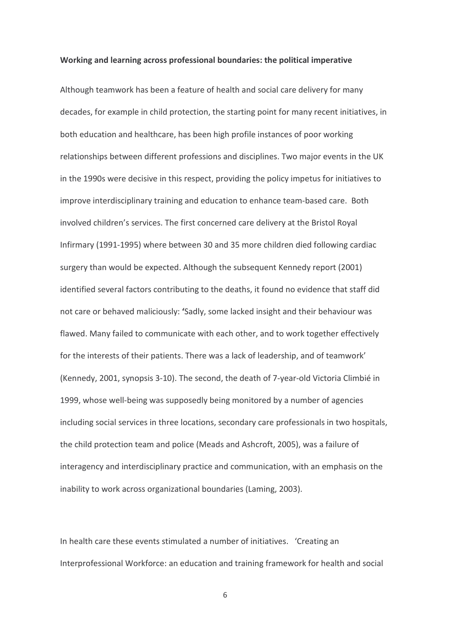#### Working and learning across professional boundaries: the political imperative

Although teamwork has been a feature of health and social care delivery for many decades, for example in child protection, the starting point for many recent initiatives, in both education and healthcare, has been high profile instances of poor working relationships between different professions and disciplines. Two major events in the UK in the 1990s were decisive in this respect, providing the policy impetus for initiatives to improve interdisciplinary training and education to enhance team-based care. Both involved children's services. The first concerned care delivery at the Bristol Royal Infirmary (1991-1995) where between 30 and 35 more children died following cardiac surgery than would be expected. Although the subsequent Kennedy report (2001) identified several factors contributing to the deaths, it found no evidence that staff did not care or behaved maliciously: 'Sadly, some lacked insight and their behaviour was flawed. Many failed to communicate with each other, and to work together effectively for the interests of their patients. There was a lack of leadership, and of teamwork' (Kennedy, 2001, synopsis 3-10). The second, the death of 7-year-old Victoria Climbié in 1999, whose well-being was supposedly being monitored by a number of agencies including social services in three locations, secondary care professionals in two hospitals, the child protection team and police (Meads and Ashcroft, 2005), was a failure of interagency and interdisciplinary practice and communication, with an emphasis on the inability to work across organizational boundaries (Laming, 2003).

In health care these events stimulated a number of initiatives. 'Creating an Interprofessional Workforce: an education and training framework for health and social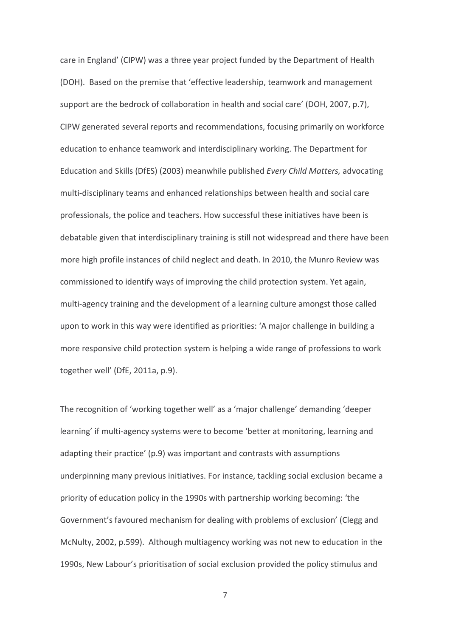care in England' (CIPW) was a three year project funded by the Department of Health (DOH). Based on the premise that 'effective leadership, teamwork and management support are the bedrock of collaboration in health and social care' (DOH, 2007, p.7). CIPW generated several reports and recommendations, focusing primarily on workforce education to enhance teamwork and interdisciplinary working. The Department for Education and Skills (DfES) (2003) meanwhile published Every Child Matters, advocating multi-disciplinary teams and enhanced relationships between health and social care professionals, the police and teachers. How successful these initiatives have been is debatable given that interdisciplinary training is still not widespread and there have been more high profile instances of child neglect and death. In 2010, the Munro Review was commissioned to identify ways of improving the child protection system. Yet again, multi-agency training and the development of a learning culture amongst those called upon to work in this way were identified as priorities: 'A major challenge in building a more responsive child protection system is helping a wide range of professions to work together well' (DfE, 2011a, p.9).

The recognition of 'working together well' as a 'major challenge' demanding 'deeper learning' if multi-agency systems were to become 'better at monitoring, learning and adapting their practice' (p.9) was important and contrasts with assumptions underpinning many previous initiatives. For instance, tackling social exclusion became a priority of education policy in the 1990s with partnership working becoming: 'the Government's favoured mechanism for dealing with problems of exclusion' (Clegg and McNulty, 2002, p.599). Although multiagency working was not new to education in the 1990s, New Labour's prioritisation of social exclusion provided the policy stimulus and

 $\overline{7}$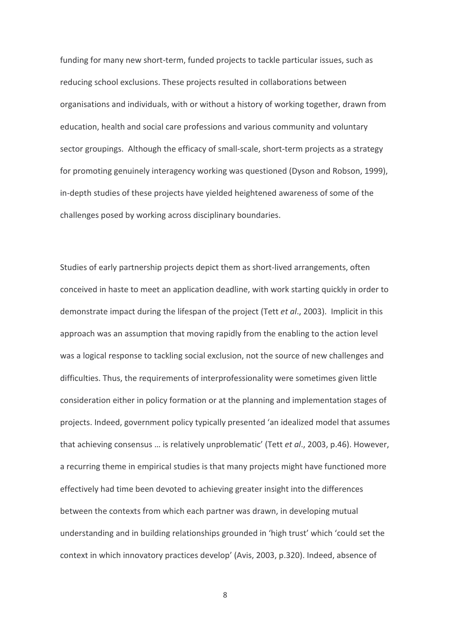funding for many new short-term, funded projects to tackle particular issues, such as reducing school exclusions. These projects resulted in collaborations between organisations and individuals, with or without a history of working together, drawn from education, health and social care professions and various community and voluntary sector groupings. Although the efficacy of small-scale, short-term projects as a strategy for promoting genuinely interagency working was questioned (Dyson and Robson, 1999), in-depth studies of these projects have yielded heightened awareness of some of the challenges posed by working across disciplinary boundaries.

Studies of early partnership projects depict them as short-lived arrangements, often conceived in haste to meet an application deadline, with work starting quickly in order to demonstrate impact during the lifespan of the project (Tett et al., 2003). Implicit in this approach was an assumption that moving rapidly from the enabling to the action level was a logical response to tackling social exclusion, not the source of new challenges and difficulties. Thus, the requirements of interprofessionality were sometimes given little consideration either in policy formation or at the planning and implementation stages of projects. Indeed, government policy typically presented 'an idealized model that assumes that achieving consensus ... is relatively unproblematic' (Tett et al., 2003, p.46). However, a recurring theme in empirical studies is that many projects might have functioned more effectively had time been devoted to achieving greater insight into the differences between the contexts from which each partner was drawn, in developing mutual understanding and in building relationships grounded in 'high trust' which 'could set the context in which innovatory practices develop' (Avis, 2003, p.320). Indeed, absence of

 $8\,$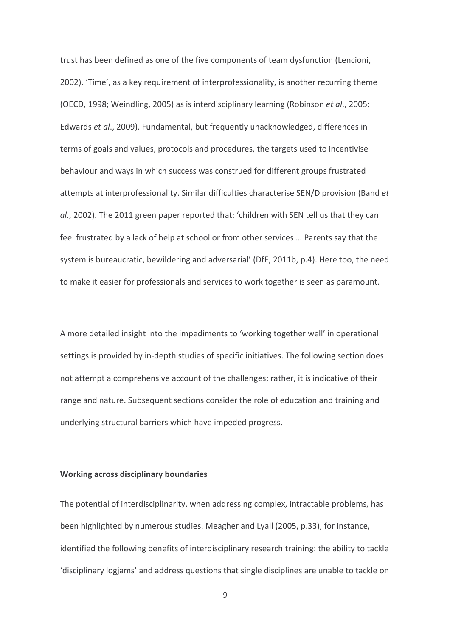trust has been defined as one of the five components of team dysfunction (Lencioni, 2002). 'Time', as a key requirement of interprofessionality, is another recurring theme (OECD, 1998; Weindling, 2005) as is interdisciplinary learning (Robinson et al., 2005; Edwards et al., 2009). Fundamental, but frequently unacknowledged, differences in terms of goals and values, protocols and procedures, the targets used to incentivise behaviour and ways in which success was construed for different groups frustrated attempts at interprofessionality. Similar difficulties characterise SEN/D provision (Band et al., 2002). The 2011 green paper reported that: 'children with SEN tell us that they can feel frustrated by a lack of help at school or from other services ... Parents say that the system is bureaucratic, bewildering and adversarial' (DfE, 2011b, p.4). Here too, the need to make it easier for professionals and services to work together is seen as paramount.

A more detailed insight into the impediments to 'working together well' in operational settings is provided by in-depth studies of specific initiatives. The following section does not attempt a comprehensive account of the challenges; rather, it is indicative of their range and nature. Subsequent sections consider the role of education and training and underlying structural barriers which have impeded progress.

#### **Working across disciplinary boundaries**

The potential of interdisciplinarity, when addressing complex, intractable problems, has been highlighted by numerous studies. Meagher and Lyall (2005, p.33), for instance, identified the following benefits of interdisciplinary research training: the ability to tackle 'disciplinary logjams' and address questions that single disciplines are unable to tackle on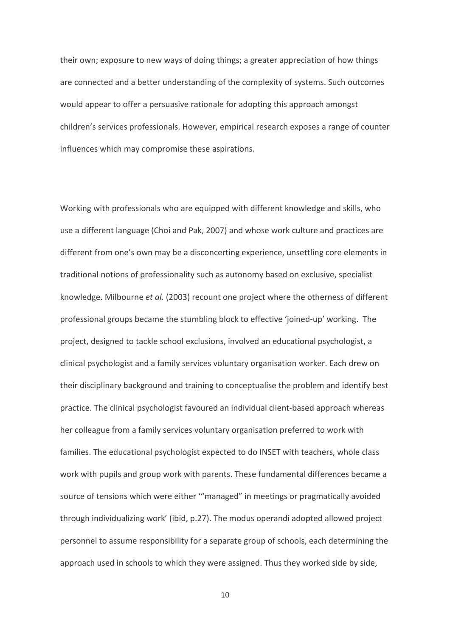their own; exposure to new ways of doing things; a greater appreciation of how things are connected and a better understanding of the complexity of systems. Such outcomes would appear to offer a persuasive rationale for adopting this approach amongst children's services professionals. However, empirical research exposes a range of counter influences which may compromise these aspirations.

Working with professionals who are equipped with different knowledge and skills, who use a different language (Choi and Pak, 2007) and whose work culture and practices are different from one's own may be a disconcerting experience, unsettling core elements in traditional notions of professionality such as autonomy based on exclusive, specialist knowledge. Milbourne et al. (2003) recount one project where the otherness of different professional groups became the stumbling block to effective 'joined-up' working. The project, designed to tackle school exclusions, involved an educational psychologist, a clinical psychologist and a family services voluntary organisation worker. Each drew on their disciplinary background and training to conceptualise the problem and identify best practice. The clinical psychologist favoured an individual client-based approach whereas her colleague from a family services voluntary organisation preferred to work with families. The educational psychologist expected to do INSET with teachers, whole class work with pupils and group work with parents. These fundamental differences became a source of tensions which were either ""managed" in meetings or pragmatically avoided through individualizing work' (ibid, p.27). The modus operandi adopted allowed project personnel to assume responsibility for a separate group of schools, each determining the approach used in schools to which they were assigned. Thus they worked side by side,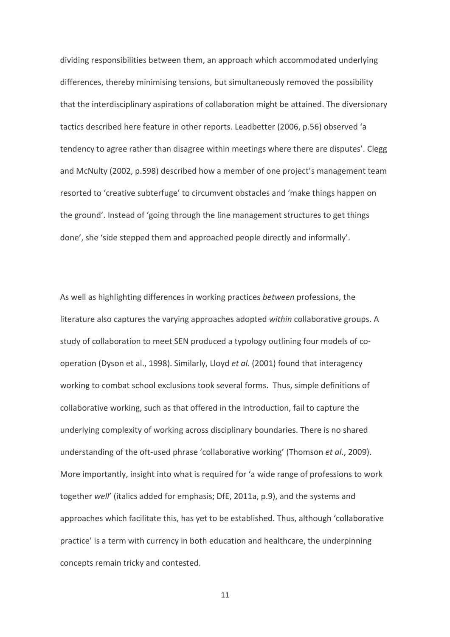dividing responsibilities between them, an approach which accommodated underlying differences, thereby minimising tensions, but simultaneously removed the possibility that the interdisciplinary aspirations of collaboration might be attained. The diversionary tactics described here feature in other reports. Leadbetter (2006, p.56) observed 'a tendency to agree rather than disagree within meetings where there are disputes'. Clegg and McNulty (2002, p.598) described how a member of one project's management team resorted to 'creative subterfuge' to circumvent obstacles and 'make things happen on the ground'. Instead of 'going through the line management structures to get things done', she 'side stepped them and approached people directly and informally'.

As well as highlighting differences in working practices between professions, the literature also captures the varying approaches adopted within collaborative groups. A study of collaboration to meet SEN produced a typology outlining four models of cooperation (Dyson et al., 1998). Similarly, Lloyd et al. (2001) found that interagency working to combat school exclusions took several forms. Thus, simple definitions of collaborative working, such as that offered in the introduction, fail to capture the underlying complexity of working across disciplinary boundaries. There is no shared understanding of the oft-used phrase 'collaborative working' (Thomson et al., 2009). More importantly, insight into what is required for 'a wide range of professions to work together well' (italics added for emphasis; DfE, 2011a, p.9), and the systems and approaches which facilitate this, has yet to be established. Thus, although 'collaborative practice' is a term with currency in both education and healthcare, the underpinning concepts remain tricky and contested.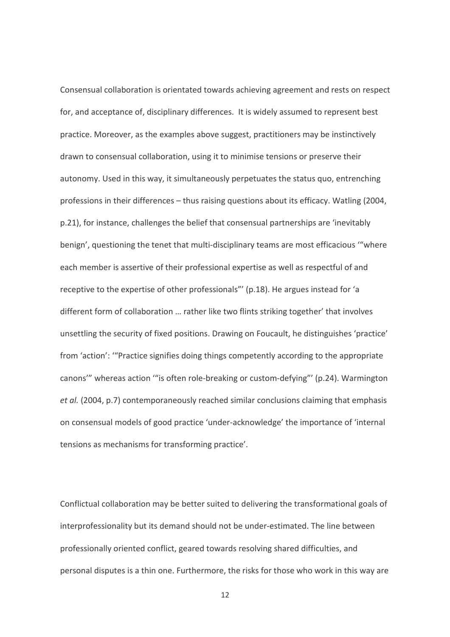Consensual collaboration is orientated towards achieving agreement and rests on respect for, and acceptance of, disciplinary differences. It is widely assumed to represent best practice. Moreover, as the examples above suggest, practitioners may be instinctively drawn to consensual collaboration, using it to minimise tensions or preserve their autonomy. Used in this way, it simultaneously perpetuates the status quo, entrenching professions in their differences - thus raising questions about its efficacy. Watling (2004, p.21), for instance, challenges the belief that consensual partnerships are 'inevitably benign', questioning the tenet that multi-disciplinary teams are most efficacious ""where each member is assertive of their professional expertise as well as respectful of and receptive to the expertise of other professionals"' (p.18). He argues instead for 'a different form of collaboration ... rather like two flints striking together' that involves unsettling the security of fixed positions. Drawing on Foucault, he distinguishes 'practice' from 'action': "Practice signifies doing things competently according to the appropriate canons" whereas action ""is often role-breaking or custom-defying"' (p.24). Warmington et al. (2004, p.7) contemporaneously reached similar conclusions claiming that emphasis on consensual models of good practice 'under-acknowledge' the importance of 'internal tensions as mechanisms for transforming practice'.

Conflictual collaboration may be better suited to delivering the transformational goals of interprofessionality but its demand should not be under-estimated. The line between professionally oriented conflict, geared towards resolving shared difficulties, and personal disputes is a thin one. Furthermore, the risks for those who work in this way are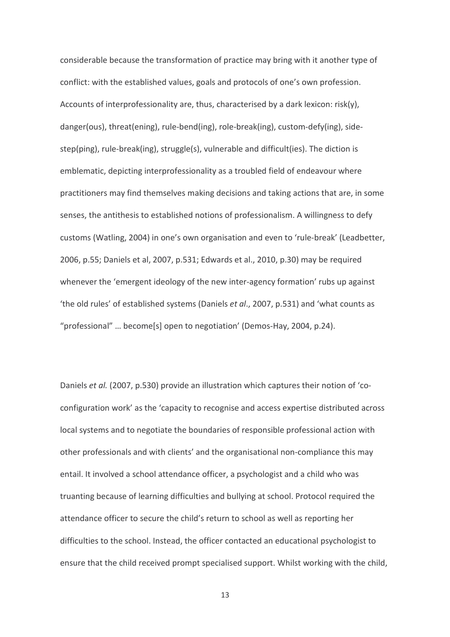considerable because the transformation of practice may bring with it another type of conflict: with the established values, goals and protocols of one's own profession. Accounts of interprofessionality are, thus, characterised by a dark lexicon: risk(y), danger(ous), threat(ening), rule-bend(ing), role-break(ing), custom-defy(ing), sidestep(ping), rule-break(ing), struggle(s), vulnerable and difficult(ies). The diction is emblematic, depicting interprofessionality as a troubled field of endeavour where practitioners may find themselves making decisions and taking actions that are, in some senses, the antithesis to established notions of professionalism. A willingness to defy customs (Watling, 2004) in one's own organisation and even to 'rule-break' (Leadbetter, 2006, p.55; Daniels et al, 2007, p.531; Edwards et al., 2010, p.30) may be required whenever the 'emergent ideology of the new inter-agency formation' rubs up against 'the old rules' of established systems (Daniels et al., 2007, p.531) and 'what counts as "professional" ... become[s] open to negotiation' (Demos-Hay, 2004, p.24).

Daniels et al. (2007, p.530) provide an illustration which captures their notion of 'coconfiguration work' as the 'capacity to recognise and access expertise distributed across local systems and to negotiate the boundaries of responsible professional action with other professionals and with clients' and the organisational non-compliance this may entail. It involved a school attendance officer, a psychologist and a child who was truanting because of learning difficulties and bullying at school. Protocol required the attendance officer to secure the child's return to school as well as reporting her difficulties to the school. Instead, the officer contacted an educational psychologist to ensure that the child received prompt specialised support. Whilst working with the child,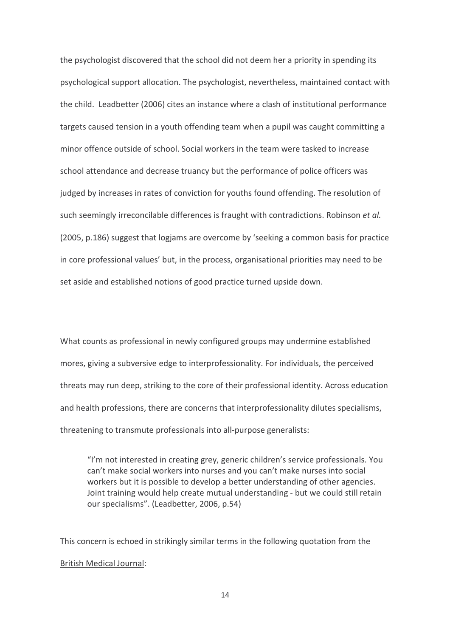the psychologist discovered that the school did not deem her a priority in spending its psychological support allocation. The psychologist, nevertheless, maintained contact with the child. Leadbetter (2006) cites an instance where a clash of institutional performance targets caused tension in a youth offending team when a pupil was caught committing a minor offence outside of school. Social workers in the team were tasked to increase school attendance and decrease truancy but the performance of police officers was judged by increases in rates of conviction for youths found offending. The resolution of such seemingly irreconcilable differences is fraught with contradictions. Robinson et al. (2005, p.186) suggest that logjams are overcome by 'seeking a common basis for practice in core professional values' but, in the process, organisational priorities may need to be set aside and established notions of good practice turned upside down.

What counts as professional in newly configured groups may undermine established mores, giving a subversive edge to interprofessionality. For individuals, the perceived threats may run deep, striking to the core of their professional identity. Across education and health professions, there are concerns that interprofessionality dilutes specialisms, threatening to transmute professionals into all-purpose generalists:

"I'm not interested in creating grev, generic children's service professionals. You can't make social workers into nurses and you can't make nurses into social workers but it is possible to develop a better understanding of other agencies. Joint training would help create mutual understanding - but we could still retain our specialisms". (Leadbetter, 2006, p.54)

This concern is echoed in strikingly similar terms in the following quotation from the **British Medical Journal:**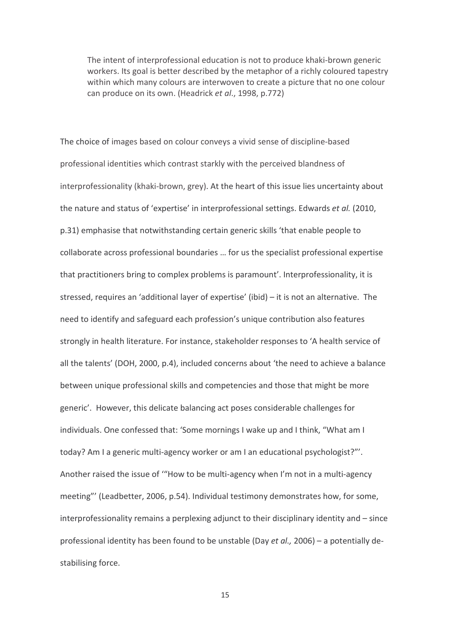The intent of interprofessional education is not to produce khaki-brown generic workers. Its goal is better described by the metaphor of a richly coloured tapestry within which many colours are interwoven to create a picture that no one colour can produce on its own. (Headrick et al., 1998, p.772)

The choice of images based on colour conveys a vivid sense of discipline-based professional identities which contrast starkly with the perceived blandness of interprofessionality (khaki-brown, grey). At the heart of this issue lies uncertainty about the nature and status of 'expertise' in interprofessional settings. Edwards et al. (2010, p.31) emphasise that notwithstanding certain generic skills 'that enable people to collaborate across professional boundaries ... for us the specialist professional expertise that practitioners bring to complex problems is paramount'. Interprofessionality, it is stressed, requires an 'additional layer of expertise' (ibid) - it is not an alternative. The need to identify and safeguard each profession's unique contribution also features strongly in health literature. For instance, stakeholder responses to 'A health service of all the talents' (DOH, 2000, p.4), included concerns about 'the need to achieve a balance between unique professional skills and competencies and those that might be more generic'. However, this delicate balancing act poses considerable challenges for individuals. One confessed that: 'Some mornings I wake up and I think, "What am I today? Am I a generic multi-agency worker or am I an educational psychologist?"'. Another raised the issue of "How to be multi-agency when I'm not in a multi-agency meeting"' (Leadbetter, 2006, p.54). Individual testimony demonstrates how, for some, interprofessionality remains a perplexing adiunct to their disciplinary identity and - since professional identity has been found to be unstable (Day et al., 2006) - a potentially destabilising force.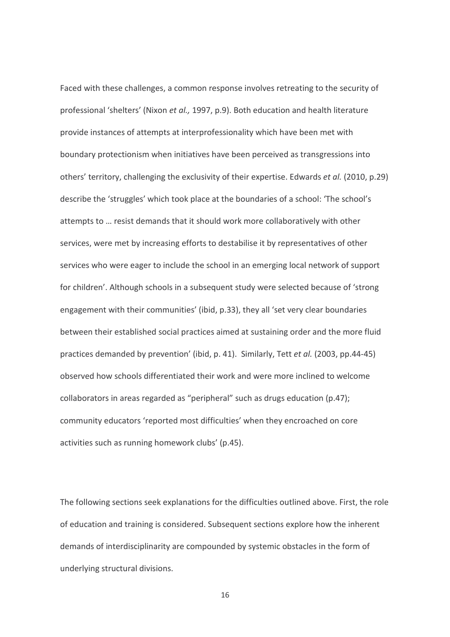Faced with these challenges, a common response involves retreating to the security of professional 'shelters' (Nixon et al., 1997, p.9). Both education and health literature provide instances of attempts at interprofessionality which have been met with boundary protectionism when initiatives have been perceived as transgressions into others' territory, challenging the exclusivity of their expertise. Edwards et al. (2010, p.29) describe the 'struggles' which took place at the boundaries of a school: 'The school's attempts to ... resist demands that it should work more collaboratively with other services, were met by increasing efforts to destabilise it by representatives of other services who were eager to include the school in an emerging local network of support for children'. Although schools in a subsequent study were selected because of 'strong engagement with their communities' (ibid, p.33), they all 'set very clear boundaries between their established social practices aimed at sustaining order and the more fluid practices demanded by prevention' (ibid. p. 41). Similarly, Tett et al. (2003, pp.44-45) observed how schools differentiated their work and were more inclined to welcome collaborators in areas regarded as "peripheral" such as drugs education (p.47); community educators 'reported most difficulties' when they encroached on core activities such as running homework clubs' (p.45).

The following sections seek explanations for the difficulties outlined above. First, the role of education and training is considered. Subsequent sections explore how the inherent demands of interdisciplinarity are compounded by systemic obstacles in the form of underlying structural divisions.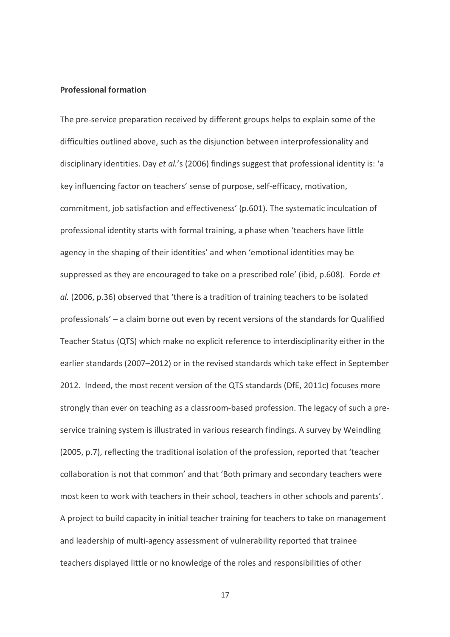### **Professional formation**

The pre-service preparation received by different groups helps to explain some of the difficulties outlined above, such as the disjunction between interprofessionality and disciplinary identities. Day et al.'s (2006) findings suggest that professional identity is: 'a key influencing factor on teachers' sense of purpose, self-efficacy, motivation, commitment, job satisfaction and effectiveness' (p.601). The systematic inculcation of professional identity starts with formal training, a phase when 'teachers have little agency in the shaping of their identities' and when 'emotional identities may be suppressed as they are encouraged to take on a prescribed role' (ibid, p.608). Forde et al. (2006, p.36) observed that 'there is a tradition of training teachers to be isolated professionals' - a claim borne out even by recent versions of the standards for Qualified Teacher Status (QTS) which make no explicit reference to interdisciplinarity either in the earlier standards (2007-2012) or in the revised standards which take effect in September 2012. Indeed, the most recent version of the QTS standards (DfE, 2011c) focuses more strongly than ever on teaching as a classroom-based profession. The legacy of such a preservice training system is illustrated in various research findings. A survey by Weindling (2005, p.7), reflecting the traditional isolation of the profession, reported that 'teacher collaboration is not that common' and that 'Both primary and secondary teachers were most keen to work with teachers in their school, teachers in other schools and parents'. A project to build capacity in initial teacher training for teachers to take on management and leadership of multi-agency assessment of vulnerability reported that trainee teachers displayed little or no knowledge of the roles and responsibilities of other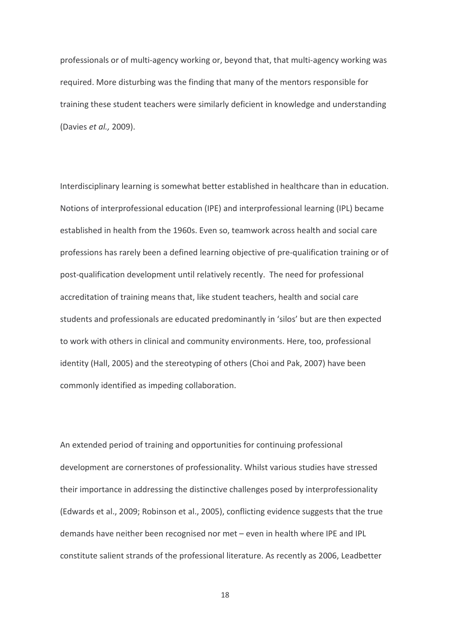professionals or of multi-agency working or, beyond that, that multi-agency working was required. More disturbing was the finding that many of the mentors responsible for training these student teachers were similarly deficient in knowledge and understanding (Davies et al., 2009).

Interdisciplinary learning is somewhat better established in healthcare than in education. Notions of interprofessional education (IPE) and interprofessional learning (IPL) became established in health from the 1960s. Even so, teamwork across health and social care professions has rarely been a defined learning objective of pre-qualification training or of post-qualification development until relatively recently. The need for professional accreditation of training means that, like student teachers, health and social care students and professionals are educated predominantly in 'silos' but are then expected to work with others in clinical and community environments. Here, too, professional identity (Hall, 2005) and the stereotyping of others (Choi and Pak, 2007) have been commonly identified as impeding collaboration.

An extended period of training and opportunities for continuing professional development are cornerstones of professionality. Whilst various studies have stressed their importance in addressing the distinctive challenges posed by interprofessionality (Edwards et al., 2009; Robinson et al., 2005), conflicting evidence suggests that the true demands have neither been recognised nor met - even in health where IPE and IPL constitute salient strands of the professional literature. As recently as 2006, Leadbetter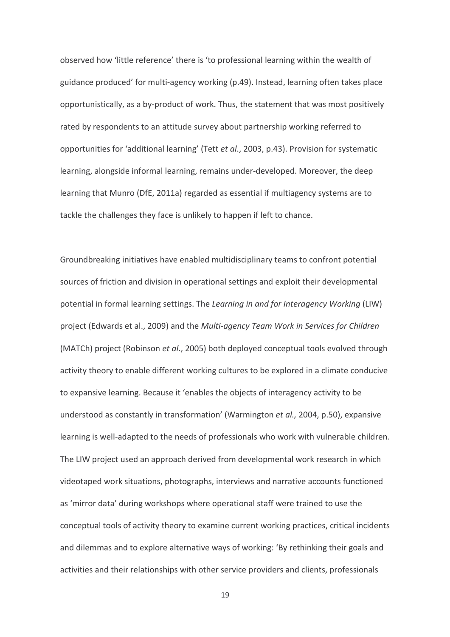observed how 'little reference' there is 'to professional learning within the wealth of guidance produced' for multi-agency working (p.49). Instead, learning often takes place opportunistically, as a by-product of work. Thus, the statement that was most positively rated by respondents to an attitude survey about partnership working referred to opportunities for 'additional learning' (Tett et al., 2003, p.43). Provision for systematic learning, alongside informal learning, remains under-developed. Moreover, the deep learning that Munro (DfE, 2011a) regarded as essential if multiagency systems are to tackle the challenges they face is unlikely to happen if left to chance.

Groundbreaking initiatives have enabled multidisciplinary teams to confront potential sources of friction and division in operational settings and exploit their developmental potential in formal learning settings. The Learning in and for Interagency Working (LIW) project (Edwards et al., 2009) and the Multi-agency Team Work in Services for Children (MATCh) project (Robinson et al., 2005) both deployed conceptual tools evolved through activity theory to enable different working cultures to be explored in a climate conducive to expansive learning. Because it 'enables the objects of interagency activity to be understood as constantly in transformation' (Warmington et al., 2004, p.50), expansive learning is well-adapted to the needs of professionals who work with vulnerable children. The LIW project used an approach derived from developmental work research in which videotaped work situations, photographs, interviews and narrative accounts functioned as 'mirror data' during workshops where operational staff were trained to use the conceptual tools of activity theory to examine current working practices, critical incidents and dilemmas and to explore alternative ways of working: 'By rethinking their goals and activities and their relationships with other service providers and clients, professionals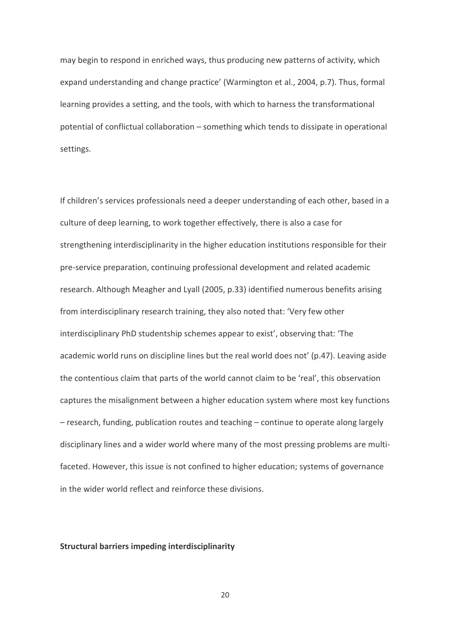may begin to respond in enriched ways, thus producing new patterns of activity, which expand understanding and change practice' (Warmington et al., 2004, p.7). Thus, formal learning provides a setting, and the tools, with which to harness the transformational potential of conflictual collaboration - something which tends to dissipate in operational settings.

If children's services professionals need a deeper understanding of each other, based in a culture of deep learning, to work together effectively, there is also a case for strengthening interdisciplinarity in the higher education institutions responsible for their pre-service preparation, continuing professional development and related academic research. Although Meagher and Lyall (2005, p.33) identified numerous benefits arising from interdisciplinary research training, they also noted that: 'Very few other interdisciplinary PhD studentship schemes appear to exist', observing that: 'The academic world runs on discipline lines but the real world does not' (p.47). Leaving aside the contentious claim that parts of the world cannot claim to be 'real', this observation captures the misalignment between a higher education system where most key functions - research, funding, publication routes and teaching - continue to operate along largely disciplinary lines and a wider world where many of the most pressing problems are multifaceted. However, this issue is not confined to higher education; systems of governance in the wider world reflect and reinforce these divisions.

## **Structural barriers impeding interdisciplinarity**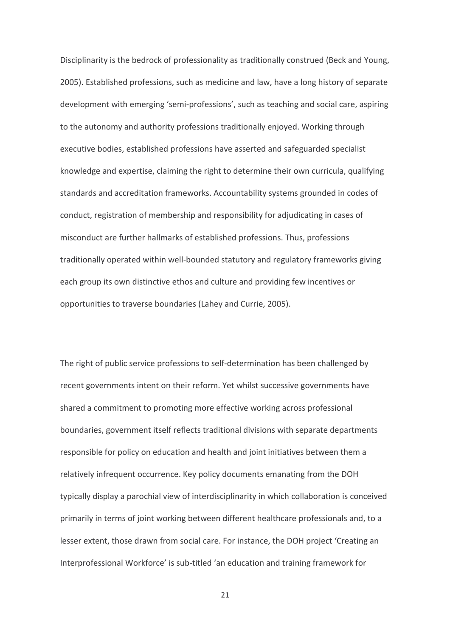Disciplinarity is the bedrock of professionality as traditionally construed (Beck and Young, 2005). Established professions, such as medicine and law, have a long history of separate development with emerging 'semi-professions', such as teaching and social care, aspiring to the autonomy and authority professions traditionally enjoyed. Working through executive bodies, established professions have asserted and safeguarded specialist knowledge and expertise, claiming the right to determine their own curricula, qualifying standards and accreditation frameworks. Accountability systems grounded in codes of conduct, registration of membership and responsibility for adjudicating in cases of misconduct are further hallmarks of established professions. Thus, professions traditionally operated within well-bounded statutory and regulatory frameworks giving each group its own distinctive ethos and culture and providing few incentives or opportunities to traverse boundaries (Lahey and Currie, 2005).

The right of public service professions to self-determination has been challenged by recent governments intent on their reform. Yet whilst successive governments have shared a commitment to promoting more effective working across professional boundaries, government itself reflects traditional divisions with separate departments responsible for policy on education and health and joint initiatives between them a relatively infrequent occurrence. Key policy documents emanating from the DOH typically display a parochial view of interdisciplinarity in which collaboration is conceived primarily in terms of joint working between different healthcare professionals and, to a lesser extent, those drawn from social care. For instance, the DOH project 'Creating an Interprofessional Workforce' is sub-titled 'an education and training framework for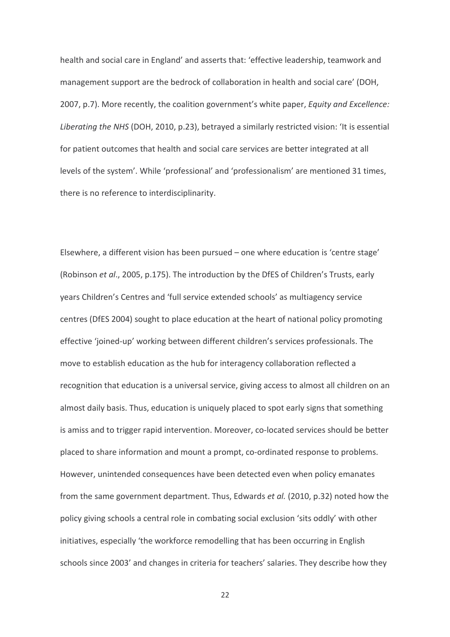health and social care in England' and asserts that: 'effective leadership, teamwork and management support are the bedrock of collaboration in health and social care' (DOH. 2007, p.7). More recently, the coalition government's white paper, *Equity and Excellence:* Liberating the NHS (DOH, 2010, p.23), betrayed a similarly restricted vision: 'It is essential for patient outcomes that health and social care services are better integrated at all levels of the system'. While 'professional' and 'professionalism' are mentioned 31 times, there is no reference to interdisciplinarity.

Elsewhere, a different vision has been pursued – one where education is 'centre stage' (Robinson et al., 2005, p.175). The introduction by the DfES of Children's Trusts, early years Children's Centres and 'full service extended schools' as multiagency service centres (DfES 2004) sought to place education at the heart of national policy promoting effective 'joined-up' working between different children's services professionals. The move to establish education as the hub for interagency collaboration reflected a recognition that education is a universal service, giving access to almost all children on an almost daily basis. Thus, education is uniquely placed to spot early signs that something is amiss and to trigger rapid intervention. Moreover, co-located services should be better placed to share information and mount a prompt, co-ordinated response to problems. However, unintended consequences have been detected even when policy emanates from the same government department. Thus, Edwards et al. (2010, p.32) noted how the policy giving schools a central role in combating social exclusion 'sits oddly' with other initiatives, especially 'the workforce remodelling that has been occurring in English schools since 2003' and changes in criteria for teachers' salaries. They describe how they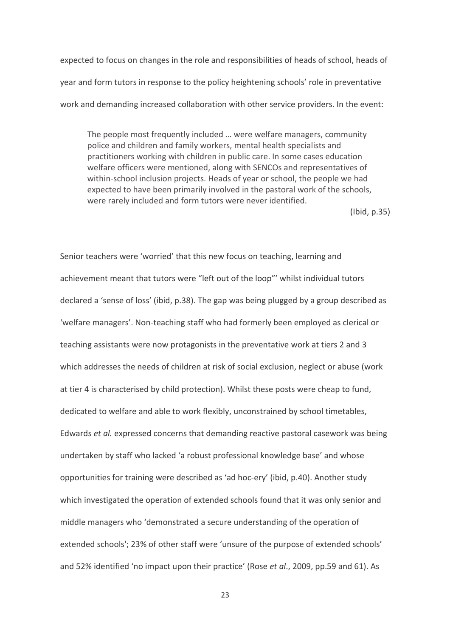expected to focus on changes in the role and responsibilities of heads of school, heads of year and form tutors in response to the policy heightening schools' role in preventative work and demanding increased collaboration with other service providers. In the event:

The people most frequently included ... were welfare managers, community police and children and family workers, mental health specialists and practitioners working with children in public care. In some cases education welfare officers were mentioned, along with SENCOs and representatives of within-school inclusion projects. Heads of year or school, the people we had expected to have been primarily involved in the pastoral work of the schools, were rarely included and form tutors were never identified.

 $(lbid, p.35)$ 

Senior teachers were 'worried' that this new focus on teaching, learning and achievement meant that tutors were "left out of the loop"' whilst individual tutors declared a 'sense of loss' (ibid, p.38). The gap was being plugged by a group described as 'welfare managers'. Non-teaching staff who had formerly been employed as clerical or teaching assistants were now protagonists in the preventative work at tiers 2 and 3 which addresses the needs of children at risk of social exclusion, neglect or abuse (work at tier 4 is characterised by child protection). Whilst these posts were cheap to fund, dedicated to welfare and able to work flexibly, unconstrained by school timetables. Edwards et al. expressed concerns that demanding reactive pastoral casework was being undertaken by staff who lacked 'a robust professional knowledge base' and whose opportunities for training were described as 'ad hoc-ery' (ibid, p.40). Another study which investigated the operation of extended schools found that it was only senior and middle managers who 'demonstrated a secure understanding of the operation of extended schools'; 23% of other staff were 'unsure of the purpose of extended schools' and 52% identified 'no impact upon their practice' (Rose et al., 2009, pp.59 and 61). As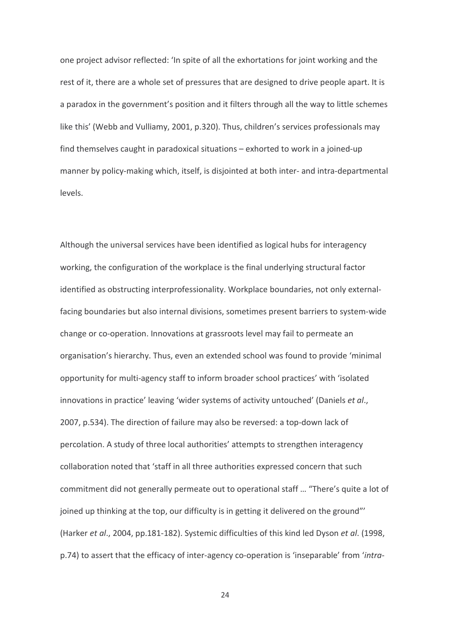one project advisor reflected: 'In spite of all the exhortations for joint working and the rest of it, there are a whole set of pressures that are designed to drive people apart. It is a paradox in the government's position and it filters through all the way to little schemes like this' (Webb and Vulliamy, 2001, p.320). Thus, children's services professionals may find themselves caught in paradoxical situations - exhorted to work in a joined-up manner by policy-making which, itself, is disjointed at both inter- and intra-departmental levels.

Although the universal services have been identified as logical hubs for interagency working, the configuration of the workplace is the final underlying structural factor identified as obstructing interprofessionality. Workplace boundaries, not only externalfacing boundaries but also internal divisions, sometimes present barriers to system-wide change or co-operation. Innovations at grassroots level may fail to permeate an organisation's hierarchy. Thus, even an extended school was found to provide 'minimal opportunity for multi-agency staff to inform broader school practices' with 'isolated innovations in practice' leaving 'wider systems of activity untouched' (Daniels et al., 2007, p.534). The direction of failure may also be reversed: a top-down lack of percolation. A study of three local authorities' attempts to strengthen interagency collaboration noted that 'staff in all three authorities expressed concern that such commitment did not generally permeate out to operational staff ... "There's quite a lot of joined up thinking at the top, our difficulty is in getting it delivered on the ground" (Harker et al., 2004, pp.181-182). Systemic difficulties of this kind led Dyson et al. (1998, p.74) to assert that the efficacy of inter-agency co-operation is 'inseparable' from 'intra-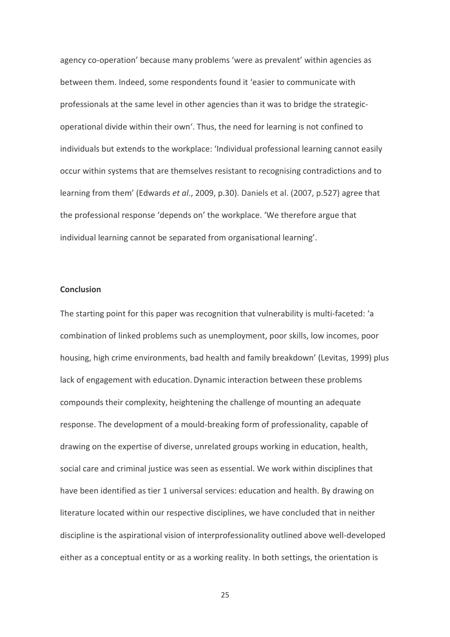agency co-operation' because many problems 'were as prevalent' within agencies as between them. Indeed, some respondents found it 'easier to communicate with professionals at the same level in other agencies than it was to bridge the strategicoperational divide within their own'. Thus, the need for learning is not confined to individuals but extends to the workplace: 'Individual professional learning cannot easily occur within systems that are themselves resistant to recognising contradictions and to learning from them' (Edwards et al., 2009, p.30). Daniels et al. (2007, p.527) agree that the professional response 'depends on' the workplace. 'We therefore argue that individual learning cannot be separated from organisational learning'.

### Conclusion

The starting point for this paper was recognition that vulnerability is multi-faceted: 'a combination of linked problems such as unemployment, poor skills, low incomes, poor housing, high crime environments, bad health and family breakdown' (Levitas, 1999) plus lack of engagement with education. Dynamic interaction between these problems compounds their complexity, heightening the challenge of mounting an adequate response. The development of a mould-breaking form of professionality, capable of drawing on the expertise of diverse, unrelated groups working in education, health, social care and criminal justice was seen as essential. We work within disciplines that have been identified as tier 1 universal services: education and health. By drawing on literature located within our respective disciplines, we have concluded that in neither discipline is the aspirational vision of interprofessionality outlined above well-developed either as a conceptual entity or as a working reality. In both settings, the orientation is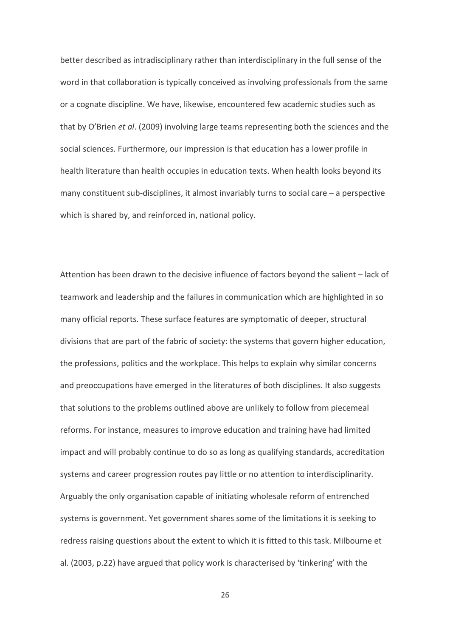better described as intradisciplinary rather than interdisciplinary in the full sense of the word in that collaboration is typically conceived as involving professionals from the same or a cognate discipline. We have, likewise, encountered few academic studies such as that by O'Brien et al. (2009) involving large teams representing both the sciences and the social sciences. Furthermore, our impression is that education has a lower profile in health literature than health occupies in education texts. When health looks beyond its many constituent sub-disciplines, it almost invariably turns to social care – a perspective which is shared by, and reinforced in, national policy.

Attention has been drawn to the decisive influence of factors beyond the salient - lack of teamwork and leadership and the failures in communication which are highlighted in so many official reports. These surface features are symptomatic of deeper, structural divisions that are part of the fabric of society: the systems that govern higher education, the professions, politics and the workplace. This helps to explain why similar concerns and preoccupations have emerged in the literatures of both disciplines. It also suggests that solutions to the problems outlined above are unlikely to follow from piecemeal reforms. For instance, measures to improve education and training have had limited impact and will probably continue to do so as long as qualifying standards, accreditation systems and career progression routes pay little or no attention to interdisciplinarity. Arguably the only organisation capable of initiating wholesale reform of entrenched systems is government. Yet government shares some of the limitations it is seeking to redress raising questions about the extent to which it is fitted to this task. Milbourne et al. (2003, p.22) have argued that policy work is characterised by 'tinkering' with the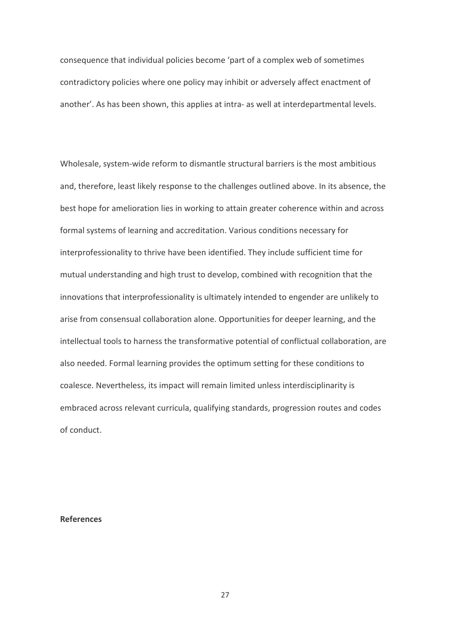consequence that individual policies become 'part of a complex web of sometimes contradictory policies where one policy may inhibit or adversely affect enactment of another'. As has been shown, this applies at intra- as well at interdepartmental levels.

Wholesale, system-wide reform to dismantle structural barriers is the most ambitious and, therefore, least likely response to the challenges outlined above. In its absence, the best hope for amelioration lies in working to attain greater coherence within and across formal systems of learning and accreditation. Various conditions necessary for interprofessionality to thrive have been identified. They include sufficient time for mutual understanding and high trust to develop, combined with recognition that the innovations that interprofessionality is ultimately intended to engender are unlikely to arise from consensual collaboration alone. Opportunities for deeper learning, and the intellectual tools to harness the transformative potential of conflictual collaboration, are also needed. Formal learning provides the optimum setting for these conditions to coalesce. Nevertheless, its impact will remain limited unless interdisciplinarity is embraced across relevant curricula, qualifying standards, progression routes and codes of conduct.

# **References**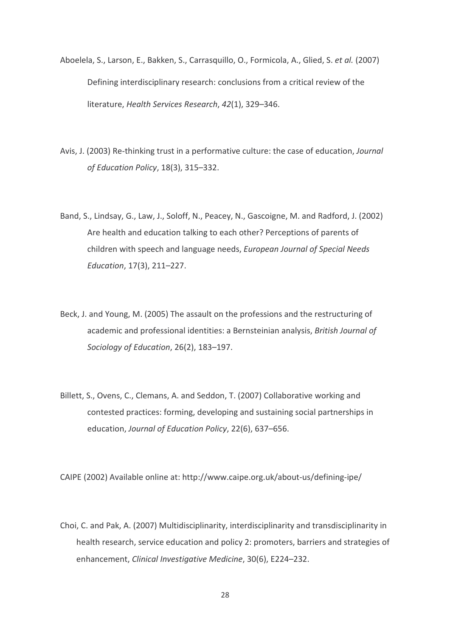- Aboelela, S., Larson, E., Bakken, S., Carrasquillo, O., Formicola, A., Glied, S. et al. (2007) Defining interdisciplinary research: conclusions from a critical review of the literature. Health Services Research, 42(1), 329-346.
- Avis, J. (2003) Re-thinking trust in a performative culture: the case of education, Journal of Education Policy, 18(3), 315-332.
- Band, S., Lindsay, G., Law, J., Soloff, N., Peacey, N., Gascoigne, M. and Radford, J. (2002) Are health and education talking to each other? Perceptions of parents of children with speech and language needs, European Journal of Special Needs Education, 17(3), 211-227.
- Beck, J. and Young, M. (2005) The assault on the professions and the restructuring of academic and professional identities: a Bernsteinian analysis, British Journal of Sociology of Education, 26(2), 183-197.
- Billett, S., Ovens, C., Clemans, A. and Seddon, T. (2007) Collaborative working and contested practices: forming, developing and sustaining social partnerships in education. Journal of Education Policy, 22(6), 637-656.

CAIPE (2002) Available online at: http://www.caipe.org.uk/about-us/defining-ipe/

Choi, C. and Pak, A. (2007) Multidisciplinarity, interdisciplinarity and transdisciplinarity in health research, service education and policy 2: promoters, barriers and strategies of enhancement, Clinical Investigative Medicine, 30(6), E224-232.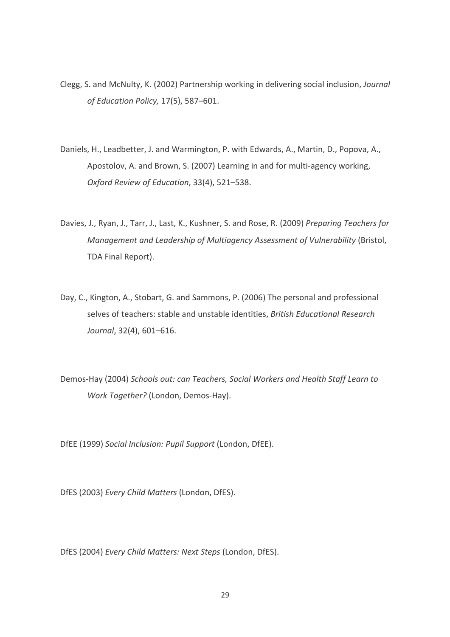- Clegg, S. and McNulty, K. (2002) Partnership working in delivering social inclusion, Journal of Education Policy, 17(5), 587-601.
- Daniels, H., Leadbetter, J. and Warmington, P. with Edwards, A., Martin, D., Popova, A., Apostolov, A. and Brown, S. (2007) Learning in and for multi-agency working, Oxford Review of Education, 33(4), 521-538.
- Davies, J., Ryan, J., Tarr, J., Last, K., Kushner, S. and Rose, R. (2009) Preparing Teachers for Management and Leadership of Multiagency Assessment of Vulnerability (Bristol, TDA Final Report).
- Day, C., Kington, A., Stobart, G. and Sammons, P. (2006) The personal and professional selves of teachers: stable and unstable identities, British Educational Research Journal, 32(4), 601-616.
- Demos-Hay (2004) Schools out: can Teachers, Social Workers and Health Staff Learn to Work Together? (London, Demos-Hay).

DfEE (1999) Social Inclusion: Pupil Support (London, DfEE).

DfES (2003) Every Child Matters (London, DfES).

DfES (2004) Every Child Matters: Next Steps (London, DfES).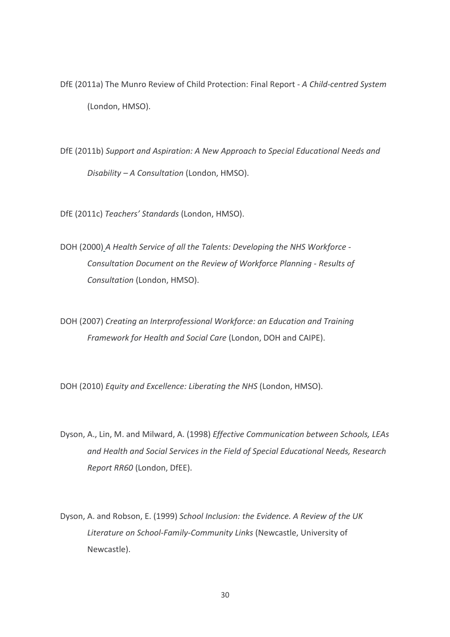- DfE (2011a) The Munro Review of Child Protection: Final Report A Child-centred System (London, HMSO).
- DfE (2011b) Support and Aspiration: A New Approach to Special Educational Needs and Disability - A Consultation (London, HMSO).

DfE (2011c) Teachers' Standards (London, HMSO).

DOH (2000) A Health Service of all the Talents: Developing the NHS Workforce -Consultation Document on the Review of Workforce Planning - Results of Consultation (London, HMSO).

DOH (2007) Creating an Interprofessional Workforce: an Education and Training Framework for Health and Social Care (London, DOH and CAIPE).

DOH (2010) Equity and Excellence: Liberating the NHS (London, HMSO).

- Dyson, A., Lin, M. and Milward, A. (1998) Effective Communication between Schools, LEAs and Health and Social Services in the Field of Special Educational Needs, Research Report RR60 (London, DfEE).
- Dyson, A. and Robson, E. (1999) School Inclusion: the Evidence. A Review of the UK Literature on School-Family-Community Links (Newcastle, University of Newcastle).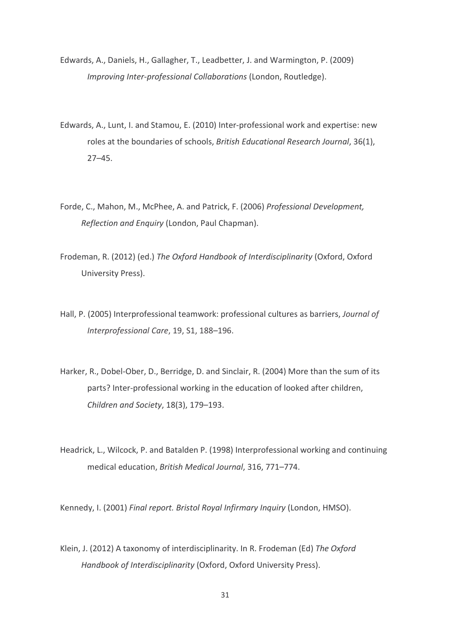- Edwards, A., Daniels, H., Gallagher, T., Leadbetter, J. and Warmington, P. (2009) Improving Inter-professional Collaborations (London, Routledge).
- Edwards, A., Lunt, I. and Stamou, E. (2010) Inter-professional work and expertise: new roles at the boundaries of schools, British Educational Research Journal, 36(1),  $27 - 45.$
- Forde, C., Mahon, M., McPhee, A. and Patrick, F. (2006) Professional Development, Reflection and Enquiry (London, Paul Chapman).
- Frodeman, R. (2012) (ed.) The Oxford Handbook of Interdisciplinarity (Oxford, Oxford University Press).
- Hall, P. (2005) Interprofessional teamwork: professional cultures as barriers, Journal of Interprofessional Care, 19, S1, 188-196.
- Harker, R., Dobel-Ober, D., Berridge, D. and Sinclair, R. (2004) More than the sum of its parts? Inter-professional working in the education of looked after children, Children and Society, 18(3), 179-193.
- Headrick, L., Wilcock, P. and Batalden P. (1998) Interprofessional working and continuing medical education, British Medical Journal, 316, 771-774.

Kennedy, I. (2001) Final report. Bristol Royal Infirmary Inquiry (London, HMSO).

Klein, J. (2012) A taxonomy of interdisciplinarity. In R. Frodeman (Ed) The Oxford Handbook of Interdisciplinarity (Oxford, Oxford University Press).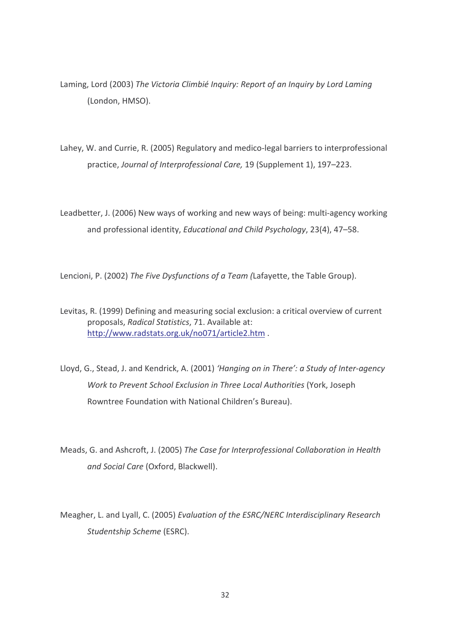- Laming, Lord (2003) The Victoria Climbié Inquiry: Report of an Inquiry by Lord Laming (London, HMSO).
- Lahey, W. and Currie, R. (2005) Regulatory and medico-legal barriers to interprofessional practice, Journal of Interprofessional Care, 19 (Supplement 1), 197-223.
- Leadbetter, J. (2006) New ways of working and new ways of being: multi-agency working and professional identity, Educational and Child Psychology, 23(4), 47-58.

Lencioni, P. (2002) The Five Dysfunctions of a Team (Lafayette, the Table Group).

- Levitas, R. (1999) Defining and measuring social exclusion: a critical overview of current proposals, Radical Statistics, 71. Available at: http://www.radstats.org.uk/no071/article2.htm.
- Lloyd, G., Stead, J. and Kendrick, A. (2001) 'Hanging on in There': a Study of Inter-agency Work to Prevent School Exclusion in Three Local Authorities (York, Joseph Rowntree Foundation with National Children's Bureau).
- Meads, G. and Ashcroft, J. (2005) The Case for Interprofessional Collaboration in Health and Social Care (Oxford, Blackwell).
- Meagher, L. and Lyall, C. (2005) Evaluation of the ESRC/NERC Interdisciplinary Research Studentship Scheme (ESRC).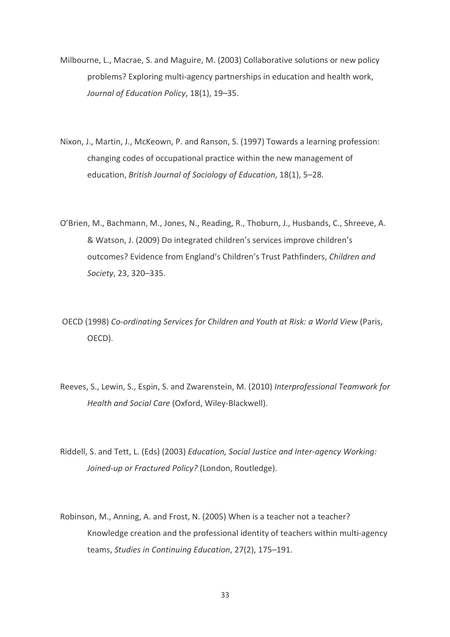- Milbourne, L., Macrae, S. and Maguire, M. (2003) Collaborative solutions or new policy problems? Exploring multi-agency partnerships in education and health work, Journal of Education Policy, 18(1), 19-35.
- Nixon, J., Martin, J., McKeown, P. and Ranson, S. (1997) Towards a learning profession: changing codes of occupational practice within the new management of education, British Journal of Sociology of Education, 18(1), 5-28.
- O'Brien, M., Bachmann, M., Jones, N., Reading, R., Thoburn, J., Husbands, C., Shreeve, A. & Watson, J. (2009) Do integrated children's services improve children's outcomes? Evidence from England's Children's Trust Pathfinders, Children and Society, 23, 320-335.
- OECD (1998) Co-ordinating Services for Children and Youth at Risk: a World View (Paris, OECD).
- Reeves, S., Lewin, S., Espin, S. and Zwarenstein, M. (2010) Interprofessional Teamwork for Health and Social Care (Oxford, Wiley-Blackwell).
- Riddell, S. and Tett. L. (Eds) (2003) Education, Social Justice and Inter-gaency Working: Joined-up or Fractured Policy? (London, Routledge).
- Robinson, M., Anning, A. and Frost, N. (2005) When is a teacher not a teacher? Knowledge creation and the professional identity of teachers within multi-agency teams, Studies in Continuing Education, 27(2), 175-191.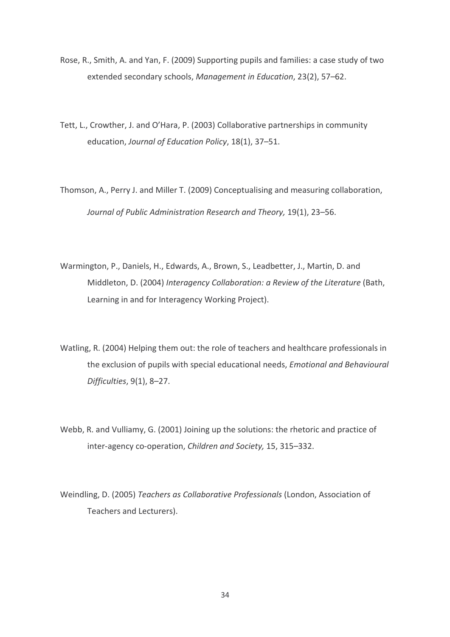- Rose, R., Smith, A. and Yan, F. (2009) Supporting pupils and families: a case study of two extended secondary schools, Management in Education, 23(2), 57-62.
- Tett, L., Crowther, J. and O'Hara, P. (2003) Collaborative partnerships in community education, Journal of Education Policy, 18(1), 37-51.
- Thomson, A., Perry J. and Miller T. (2009) Conceptualising and measuring collaboration, Journal of Public Administration Research and Theory, 19(1), 23–56.
- Warmington, P., Daniels, H., Edwards, A., Brown, S., Leadbetter, J., Martin, D. and Middleton, D. (2004) Interagency Collaboration: a Review of the Literature (Bath, Learning in and for Interagency Working Project).
- Watling, R. (2004) Helping them out: the role of teachers and healthcare professionals in the exclusion of pupils with special educational needs, Emotional and Behavioural Difficulties, 9(1), 8-27.
- Webb, R. and Vulliamy, G. (2001) Joining up the solutions: the rhetoric and practice of inter-agency co-operation, Children and Society, 15, 315-332.
- Weindling, D. (2005) Teachers as Collaborative Professionals (London, Association of Teachers and Lecturers).